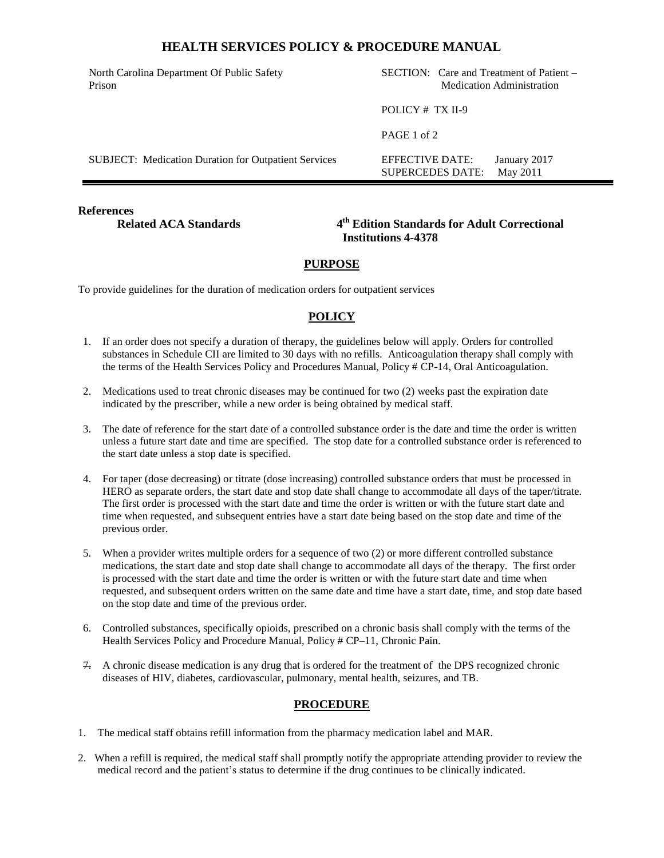# **HEALTH SERVICES POLICY & PROCEDURE MANUAL**

| North Carolina Department Of Public Safety<br>Prison        | SECTION: Care and Treatment of Patient –<br><b>Medication Administration</b> |
|-------------------------------------------------------------|------------------------------------------------------------------------------|
|                                                             | POLICY # TX II-9                                                             |
|                                                             | PAGE 1 of 2                                                                  |
| <b>SUBJECT:</b> Medication Duration for Outpatient Services | EFFECTIVE DATE:<br>January 2017<br>May 2011<br><b>SUPERCEDES DATE:</b>       |

**References** 

**Related ACA Standards** 

**th Edition Standards for Adult Correctional Institutions 4-4378**

### **PURPOSE**

To provide guidelines for the duration of medication orders for outpatient services

## **POLICY**

- 1. If an order does not specify a duration of therapy, the guidelines below will apply. Orders for controlled substances in Schedule CII are limited to 30 days with no refills. Anticoagulation therapy shall comply with the terms of the Health Services Policy and Procedures Manual, Policy # CP-14, Oral Anticoagulation.
- 2. Medications used to treat chronic diseases may be continued for two (2) weeks past the expiration date indicated by the prescriber, while a new order is being obtained by medical staff.
- 3. The date of reference for the start date of a controlled substance order is the date and time the order is written unless a future start date and time are specified. The stop date for a controlled substance order is referenced to the start date unless a stop date is specified.
- 4. For taper (dose decreasing) or titrate (dose increasing) controlled substance orders that must be processed in HERO as separate orders, the start date and stop date shall change to accommodate all days of the taper/titrate. The first order is processed with the start date and time the order is written or with the future start date and time when requested, and subsequent entries have a start date being based on the stop date and time of the previous order.
- 5. When a provider writes multiple orders for a sequence of two (2) or more different controlled substance medications, the start date and stop date shall change to accommodate all days of the therapy. The first order is processed with the start date and time the order is written or with the future start date and time when requested, and subsequent orders written on the same date and time have a start date, time, and stop date based on the stop date and time of the previous order.
- 6. Controlled substances, specifically opioids, prescribed on a chronic basis shall comply with the terms of the Health Services Policy and Procedure Manual, Policy # CP–11, Chronic Pain.
- 7. A chronic disease medication is any drug that is ordered for the treatment of the DPS recognized chronic diseases of HIV, diabetes, cardiovascular, pulmonary, mental health, seizures, and TB.

### **PROCEDURE**

- 1. The medical staff obtains refill information from the pharmacy medication label and MAR.
- 2. When a refill is required, the medical staff shall promptly notify the appropriate attending provider to review the medical record and the patient's status to determine if the drug continues to be clinically indicated.